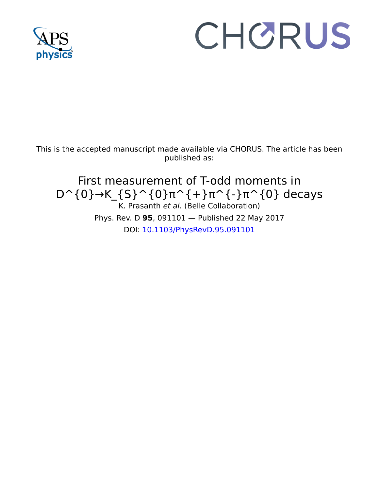

## CHORUS

This is the accepted manuscript made available via CHORUS. The article has been published as:

First measurement of T-odd moments in  $D^{(0)} \rightarrow K_{s}^{(S)}$  (0}π^{+}π^{-}π^{0} decays K. Prasanth et al. (Belle Collaboration) Phys. Rev. D **95**, 091101 — Published 22 May 2017 DOI: [10.1103/PhysRevD.95.091101](http://dx.doi.org/10.1103/PhysRevD.95.091101)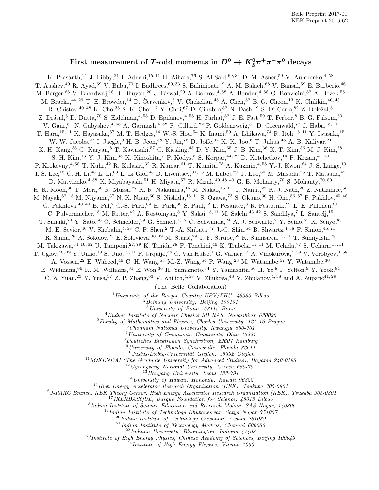## First measurement of T-odd moments in  $D^0 \to K^0_S \pi^+ \pi^- \pi^0$  decays

K. Prasanth,<sup>21</sup> J. Libby,<sup>21</sup> I. Adachi,<sup>15, 11</sup> H. Aihara,<sup>76</sup> S. Al Said,<sup>69, 34</sup> D. M. Asner,<sup>59</sup> V. Aulchenko,<sup>4, 58</sup> T. Aushev,<sup>49</sup> R. Ayad,<sup>69</sup> V. Babu,<sup>70</sup> I. Badhrees,<sup>69, 33</sup> S. Bahinipati,<sup>19</sup> A. M. Bakich,<sup>68</sup> V. Bansal,<sup>59</sup> E. Barberio,<sup>46</sup> M. Berger,<sup>66</sup> V. Bhardwaj,<sup>18</sup> B. Bhuyan,<sup>20</sup> J. Biswal,<sup>29</sup> A. Bobrov,<sup>4,58</sup> A. Bondar,<sup>4,58</sup> G. Bonvicini,<sup>82</sup> A. Bozek,<sup>55</sup> M. Bračko, $^{44,29}$  T. E. Browder, $^{14}$  D. Cervenkov,  $^{5}$  V. Chekelian, $^{45}$  A. Chen,  $^{52}$  B. G. Cheon,  $^{13}$  K. Chilikin,  $^{40,48}$ R. Chistov, <sup>40, 48</sup> K. Cho, <sup>35</sup> S.-K. Choi, <sup>12</sup> Y. Choi, <sup>67</sup> D. Cinabro, <sup>82</sup> N. Dash, <sup>19</sup> S. Di Carlo, <sup>82</sup> Z. Doležal, <sup>5</sup> Z. Drásal,<sup>5</sup> D. Dutta,<sup>70</sup> S. Eidelman,<sup>4, 58</sup> D. Epifanov,<sup>4, 58</sup> H. Farhat,<sup>82</sup> J. E. Fast,<sup>59</sup> T. Ferber,<sup>8</sup> B. G. Fulsom,<sup>59</sup> V. Gaur, <sup>81</sup> N. Gabyshev, <sup>4, 58</sup> A. Garmash, <sup>4, 58</sup> R. Gillard, <sup>82</sup> P. Goldenzweig, <sup>31</sup> D. Greenwald, <sup>72</sup> J. Haba, <sup>15, 11</sup> T. Hara,<sup>15, 11</sup> K. Hayasaka,<sup>57</sup> M. T. Hedges,<sup>14</sup> W.-S. Hou,<sup>54</sup> K. Inami,<sup>50</sup> A. Ishikawa,<sup>74</sup> R. Itoh,<sup>15, 11</sup> Y. Iwasaki,<sup>15</sup> W. W. Jacobs,<sup>22</sup> I. Jaegle,<sup>9</sup> H. B. Jeon,<sup>38</sup> Y. Jin,<sup>76</sup> D. Joffe,<sup>32</sup> K. K. Joo,<sup>6</sup> T. Julius,<sup>46</sup> A. B. Kaliyar,<sup>21</sup> K. H. Kang,<sup>38</sup> G. Karyan,<sup>8</sup> T. Kawasaki,<sup>57</sup> C. Kiesling,<sup>45</sup> D. Y. Kim,<sup>65</sup> J. B. Kim,<sup>36</sup> K. T. Kim,<sup>36</sup> M. J. Kim,<sup>38</sup> S. H. Kim,<sup>13</sup> Y. J. Kim,<sup>35</sup> K. Kinoshita,<sup>7</sup> P. Kodyš,<sup>5</sup> S. Korpar,<sup>44, 29</sup> D. Kotchetkov,<sup>14</sup> P. Križan,<sup>41, 29</sup> P. Krokovny,<sup>4, 58</sup> T. Kuhr,<sup>42</sup> R. Kulasiri,<sup>32</sup> R. Kumar,<sup>61</sup> T. Kumita,<sup>78</sup> A. Kuzmin,<sup>4, 58</sup> Y.-J. Kwon,<sup>84</sup> J. S. Lange,<sup>10</sup> I. S. Lee,<sup>13</sup> C. H. Li,<sup>46</sup> L. Li,<sup>63</sup> L. Li Gioi,<sup>45</sup> D. Liventsev,<sup>81, 15</sup> M. Lubej,<sup>29</sup> T. Luo,<sup>60</sup> M. Masuda,<sup>75</sup> T. Matsuda,<sup>47</sup> D. Matvienko, 4, 58 K. Miyabayashi, 51 H. Miyata, 57 R. Mizuk, 40, 48, 49 G. B. Mohanty, 70 S. Mohanty, 70, 80 H. K. Moon,<sup>36</sup> T. Mori,<sup>50</sup> R. Mussa,<sup>27</sup> K. R. Nakamura,<sup>15</sup> M. Nakao,<sup>15, 11</sup> T. Nanut,<sup>29</sup> K. J. Nath,<sup>20</sup> Z. Natkaniec,<sup>55</sup> M. Nayak, <sup>82, 15</sup> M. Niiyama, <sup>37</sup> N. K. Nisar, <sup>60</sup> S. Nishida, <sup>15, 11</sup> S. Ogawa, <sup>73</sup> S. Okuno, <sup>30</sup> H. Ono, <sup>56, 57</sup> P. Pakhlov, <sup>40, 48</sup> G. Pakhlova, <sup>40, 49</sup> B. Pal,<sup>7</sup> C.-S. Park, <sup>84</sup> H. Park, <sup>38</sup> S. Paul,<sup>72</sup> L. Pesántez, <sup>3</sup> R. Pestotnik, <sup>29</sup> L. E. Piilonen, <sup>81</sup> C. Pulvermacher,<sup>15</sup> M. Ritter,<sup>42</sup> A. Rostomyan,<sup>8</sup> Y. Sakai,<sup>15, 11</sup> M. Salehi,<sup>43, 42</sup> S. Sandilya,<sup>7</sup> L. Santelj,<sup>15</sup> T. Sanuki,<sup>74</sup> Y. Sato,<sup>50</sup> O. Schneider,<sup>39</sup> G. Schnell,<sup>1,17</sup> C. Schwanda,<sup>24</sup> A. J. Schwartz,<sup>7</sup> Y. Seino,<sup>57</sup> K. Senyo,<sup>83</sup> M. E. Sevior, <sup>46</sup> V. Shebalin, <sup>4, 58</sup> C. P. Shen, <sup>2</sup> T.-A. Shibata, <sup>77</sup> J.-G. Shiu, <sup>54</sup> B. Shwartz, <sup>4, 58</sup> F. Simon, <sup>45, 71</sup> R. Sinha,<sup>26</sup> A. Sokolov,<sup>25</sup> E. Solovieva,<sup>40,49</sup> M. Starič,<sup>29</sup> J. F. Strube,<sup>59</sup> K. Sumisawa,<sup>15,11</sup> T. Sumiyoshi,<sup>78</sup> M. Takizawa,  $64, 16, 62$  U. Tamponi,  $27, 79$  K. Tanida,  $28$  F. Tenchini,  $46$  K. Trabelsi,  $15, 11$  M. Uchida,  $77$  S. Uehara,  $15, 11$ T. Uglov,  $^{40,49}$  Y. Unno,  $^{13}$  S. Uno,  $^{15,11}$  P. Urquijo,  $^{46}$  C. Van Hulse,  $^1$  G. Varner,  $^{14}$  A. Vinokurova,  $^{4,58}$  V. Vorobyev,  $^{4,58}$ A. Vossen,<sup>22</sup> E. Waheed,<sup>46</sup> C. H. Wang,<sup>53</sup> M.-Z. Wang,<sup>54</sup> P. Wang,<sup>23</sup> M. Watanabe,<sup>57</sup> Y. Watanabe,<sup>30</sup> E. Widmann,<sup>66</sup> K. M. Williams,<sup>81</sup> E. Won,<sup>36</sup> H. Yamamoto,<sup>74</sup> Y. Yamashita,<sup>56</sup> H. Ye,<sup>8</sup> J. Yelton,<sup>9</sup> Y. Yook,<sup>84</sup> C. Z. Yuan,<sup>23</sup> Y. Yusa,<sup>57</sup> Z. P. Zhang,<sup>63</sup> V. Zhilich,<sup>4,58</sup> V. Zhukova,<sup>48</sup> V. Zhulanov,<sup>4,58</sup> and A. Zupanc<sup>41,29</sup>

(The Belle Collaboration)

 $1$  University of the Basque Country UPV/EHU, 48080 Bilbao

 $2$ Beihang University, Beijing 100191

<sup>3</sup>University of Bonn, 53115 Bonn

<sup>4</sup>Budker Institute of Nuclear Physics SB RAS, Novosibirsk 630090

<sup>5</sup>Faculty of Mathematics and Physics, Charles University, 121 16 Prague

<sup>6</sup>Chonnam National University, Kwangju 660-701

<sup>7</sup>University of Cincinnati, Cincinnati, Ohio 45221

<sup>8</sup>Deutsches Elektronen–Synchrotron, 22607 Hamburg  $^{9}$ University of Florida, Gainesville, Florida 32611

 $10$  Justus-Liebig-Universität Gießen, 35392 Gießen

<sup>11</sup>SOKENDAI (The Graduate University for Advanced Studies), Hayama 240-0193

 $12Gyeongsang National University, Chinju 660-701$ 

<sup>13</sup>Hanyang University, Seoul 133-791

<sup>14</sup>University of Hawaii, Honolulu, Hawaii 96822

<sup>15</sup> High Energy Accelerator Research Organization (KEK), Tsukuba 305-0801

<sup>16</sup>J-PARC Branch, KEK Theory Center, High Energy Accelerator Research Organization (KEK), Tsukuba 305-0801

<sup>17</sup>IKERBASQUE, Basque Foundation for Science, 48013 Bilbao

<sup>18</sup> Indian Institute of Science Education and Research Mohali, SAS Nagar, 140306

 $19$ Indian Institute of Technology Bhubaneswar, Satya Nagar  $751007$ 

 $^{20}$ Indian Institute of Technology Guwahati, Assam  $781039$ 

 $^{21}$ Indian Institute of Technology Madras, Chennai $600036\,$ 

 $^{22}$ Indiana University, Bloomington, Indiana  $\frac{47408}{ }$ 

 $^{23}$ Institute of High Energy Physics, Chinese Academy of Sciences, Beijing 100049

 $^{24}$ Institute of High Energy Physics, Vienna 1050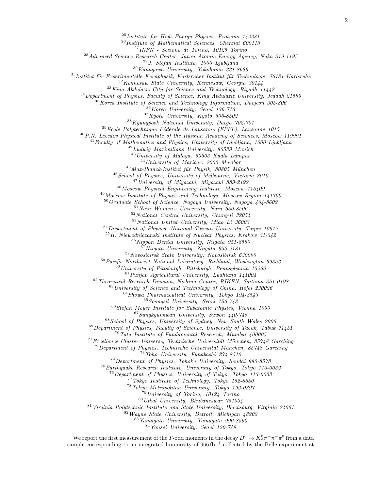$^{25}$ Institute for High Energy Physics, Protvino 142281

Institute of Mathematical Sciences, Chennai 600113

INFN - Sezione di Torino, 10125 Torino

Advanced Science Research Center, Japan Atomic Energy Agency, Naka 319-1195

J. Stefan Institute, 1000 Ljubljana

Kanagawa University, Yokohama 221-8686

Institut für Experimentelle Kernphysik, Karlsruher Institut für Technologie, 76131 Karlsruhe

Kennesaw State University, Kennesaw, Georgia 30144

King Abdulaziz City for Science and Technology, Riyadh 11442

Department of Physics, Faculty of Science, King Abdulaziz University, Jeddah 21589

<sup>35</sup>Korea Institute of Science and Technology Information, Daejeon 305-806

 $^{36}\!$  Korea University, Seoul 136-713

Kyoto University, Kyoto 606-8502

Kyungpook National University, Daegu 702-701

 $39\text{ École Polytechnique Fédérale de Lausanne (EPFL), Lausanne 1015$ 

P.N. Lebedev Physical Institute of the Russian Academy of Sciences, Moscow 119991

 $^{41}$ Faculty of Mathematics and Physics, University of Ljubljana, 1000 Ljubljana

 $^{42}$ Ludwig Maximilians University, 80539 Munich

University of Malaya, 50603 Kuala Lumpur

<sup>44</sup> University of Maribor, 2000 Maribor

Max-Planck-Institut für Physik, 80805 München

School of Physics, University of Melbourne, Victoria 3010

University of Miyazaki, Miyazaki 889-2192

Moscow Physical Engineering Institute, Moscow 115409

Moscow Institute of Physics and Technology, Moscow Region 141700

Graduate School of Science, Nagoya University, Nagoya 464-8602

Nara Women's University, Nara 630-8506

National Central University, Chung-li 32054

National United University, Miao Li 36003

Department of Physics, National Taiwan University, Taipei 10617

H. Niewodniczanski Institute of Nuclear Physics, Krakow 31-342

Nippon Dental University, Niigata 951-8580

 $N$ iigata University, Niigata 950-2181

Novosibirsk State University, Novosibirsk 630090

Pacific Northwest National Laboratory, Richland, Washington 99352

 $^{60}$ University of Pittsburgh, Pittsburgh, Pennsylvania 15260

Punjab Agricultural University, Ludhiana 141004

Theoretical Research Division, Nishina Center, RIKEN, Saitama 351-0198

University of Science and Technology of China, Hefei 230026

Showa Pharmaceutical University, Tokyo 194-8543

Soongsil University, Seoul 156-743

Stefan Meyer Institute for Subatomic Physics, Vienna 1090

Sungkyunkwan University, Suwon 440-746

School of Physics, University of Sydney, New South Wales 2006

 $^{69}$ Department of Physics, Faculty of Science, University of Tabuk, Tabuk 71451

Tata Institute of Fundamental Research, Mumbai  $400005$ 

Excellence Cluster Universe, Technische Universität München, 85748 Garching

Department of Physics, Technische Universität München, 85748 Garching

Toho University, Funabashi 274-8510

Department of Physics, Tohoku University, Sendai 980-8578

Earthquake Research Institute, University of Tokyo, Tokyo 113-0032

Department of Physics, University of Tokyo, Tokyo 113-0033

Tokyo Institute of Technology, Tokyo 152-8550

Tokyo Metropolitan University, Tokyo 192-0397

University of Torino, 10124 Torino

Utkal University, Bhubaneswar  $751004$ 

Virginia Polytechnic Institute and State University, Blacksburg, Virginia 24061

Wayne State University, Detroit, Michigan  $48202$ 

Yamagata University, Yamagata 990-8560

Yonsei University, Seoul 120-749

We report the first measurement of the T-odd moments in the decay  $D^0 \to K_S^0 \pi^+ \pi^- \pi^0$  from a data sample corresponding to an integrated luminosity of  $966\,\mathrm{fb}^{-1}$  collected by the Belle experiment at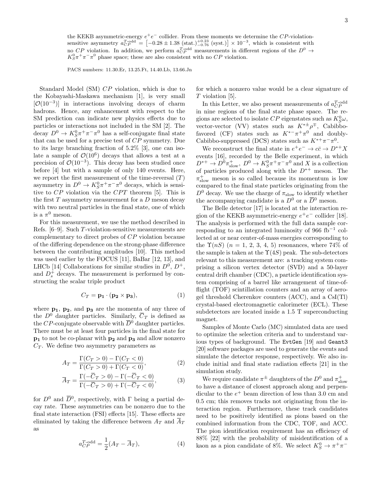the KEKB asymmetric-energy  $e^+e^-$  collider. From these moments we determine the CP-violationsensitive asymmetry  $a_{CP}^{T-odd} = \left[-0.28 \pm 1.38 \text{ (stat.)}^{+0.23}_{-0.76} \text{ (syst.)}\right] \times 10^{-3}$ , which is consistent with no CP violation. In addition, we perform  $a_{CP}^{T-odd}$  measurements in different regions of the  $D^0 \rightarrow$  $K_S^0 \pi^+ \pi^- \pi^0$  phase space; these are also consistent with no CP violation.

PACS numbers: 11.30.Er, 13.25.Ft, 14.40.Lb, 13.66.Jn

Standard Model (SM) CP violation, which is due to the Kobayashi-Maskawa mechanism [1], is very small  $[O(10^{-3})]$  in interactions involving decays of charm hadrons. Hence, any enhancement with respect to the SM prediction can indicate new physics effects due to particles or interactions not included in the SM [2]. The decay  $D^0 \to K_S^0 \pi^+ \pi^- \pi^0$  has a self-conjugate final state that can be used for a precise test of CP symmetry. Due to its large branching fraction of 5.2% [3], one can isolate a sample of  $\mathcal{O}(10^6)$  decays that allows a test at a precision of  $\mathcal{O}(10^{-3})$ . This decay has been studied once before [4] but with a sample of only 140 events. Here, we report the first measurement of the time-reversal  $(T)$ asymmetry in  $D^0 \to K_S^0 \pi^+ \pi^- \pi^0$  decays, which is sensitive to  $CP$  violation via the  $CPT$  theorem [5]. This is the first  $T$  asymmetry measurement for a  $D$  meson decay with two neutral particles in the final state, one of which is a  $\pi^0$  meson.

For this measurement, we use the method described in Refs. [6–9]. Such T-violation-sensitive measurements are complementary to direct probes of CP violation because of the differing dependence on the strong-phase difference between the contributing amplitudes [10]. This method was used earlier by the FOCUS [11], BaBar [12, 13], and LHCb [14] Collaborations for similar studies in  $D^0$ ,  $D^+$ , and  $D_s^+$  decays. The measurement is performed by constructing the scalar triple product

$$
C_T = \mathbf{p_1} \cdot (\mathbf{p_2} \times \mathbf{p_3}),\tag{1}
$$

where  $p_1$ ,  $p_2$ , and  $p_3$  are the momenta of any three of the  $D^0$  daughter particles. Similarly,  $\overline{C}_T$  is defined as the CP-conjugate observable with  $\overline{D}{}^0$  daughter particles. There must be at least four particles in the final state for  $\mathbf{p_1}$  to not be co-planar with  $\mathbf{p_2}$  and  $\mathbf{p_3}$  and allow nonzero  $C_T$ . We define two asymmetry parameters as

$$
A_T = \frac{\Gamma(C_T > 0) - \Gamma(C_T < 0)}{\Gamma(C_T > 0) + \Gamma(C_T < 0)},\tag{2}
$$

$$
\overline{A}_T = \frac{\Gamma(-\overline{C}_T > 0) - \Gamma(-\overline{C}_T < 0)}{\Gamma(-\overline{C}_T > 0) + \Gamma(-\overline{C}_T < 0)},\tag{3}
$$

for  $D^0$  and  $\overline{D}{}^0$ , respectively, with  $\Gamma$  being a partial decay rate. These asymmetries can be nonzero due to the final state interaction (FSI) effects [15]. These effects are eliminated by taking the difference between  $A_T$  and  $\overline{A}_T$ as

$$
a_{CP}^{T\text{-odd}} = \frac{1}{2}(A_T - \overline{A}_T),\tag{4}
$$

for which a nonzero value would be a clear signature of T violation [5].

In this Letter, we also present measurements of  $a_{CP}^{T-\text{odd}}$ in nine regions of the final state phase space. The regions are selected to isolate  $CP$  eigenstates such as  $K^0_S\omega$ , vector-vector (VV) states such as  $K^{*\pm}\rho^{\mp}$ , Cabibbofavored (CF) states such as  $K^{*-}\pi^+\pi^0$  and doubly-Cabibbo-suppressed (DCS) states such as  $K^{*+}\pi^-\pi^0$ .

We reconstruct the final state in  $e^+e^- \to c\bar{c} \to D^{*+}X$ events [16], recorded by the Belle experiment, in which  $D^{*+} \to D^0 \pi_{\text{slow}}^+$ ,  $D^0 \to K_S^0 \pi^+ \pi^- \pi^0$  and X is a collection of particles produced along with the  $D^{*+}$  meson. The  $\pi_{\text{slow}}^+$  meson is so called because its momentum is low compared to the final state particles originating from the  $D^0$  decay. We use the charge of  $\pi_{slow}$  to identify whether the accompanying candidate is a  $D^0$  or a  $\overline{D}{}^0$  meson.

The Belle detector [17] is located at the interaction region of the KEKB asymmetric-energy  $e^+e^-$  collider [18]. The analysis is performed with the full data sample corresponding to an integrated luminosity of 966 fb<sup>-1</sup> collected at or near center-of-mass energies corresponding to the  $\Upsilon(nS)$   $(n = 1, 2, 3, 4, 5)$  resonances, where 74% of the sample is taken at the  $\Upsilon(4S)$  peak. The sub-detectors relevant to this measurement are: a tracking system comprising a silicon vertex detector (SVD) and a 50-layer central drift chamber (CDC), a particle identification system comprising of a barrel like arrangement of time-offlight (TOF) scintillation counters and an array of aerogel threshold Cherenkov counters (ACC), and a CsI(Tl) crystal-based electromagnetic calorimeter (ECL). These subdetectors are located inside a 1.5 T superconducting magnet.

Samples of Monte Carlo (MC) simulated data are used to optimize the selection criteria and to understand various types of background. The EvtGen [19] and Geant3 [20] software packages are used to generate the events and simulate the detector response, respectively. We also include initial and final state radiation effects [21] in the simulation study.

We require candidate  $\pi^{\pm}$  daughters of the  $D^0$  and  $\pi^+_{\text{slow}}$ to have a distance of closest approach along and perpendicular to the  $e^+$  beam direction of less than 3.0 cm and 0.5 cm; this removes tracks not originating from the interaction region. Furthermore, these track candidates need to be positively identified as pions based on the combined information from the CDC, TOF, and ACC. The pion identification requirement has an efficiency of 88% [22] with the probability of misidentification of a kaon as a pion candidate of 8%. We select  $K_S^0 \to \pi^+ \pi^-$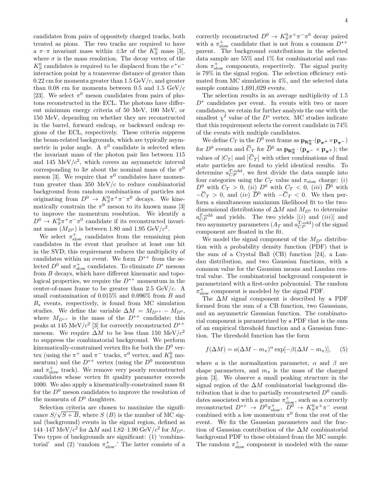candidates from pairs of oppositely charged tracks, both treated as pions. The two tracks are required to have a  $\pi-\pi$  invariant mass within  $\pm 3\sigma$  of the  $K_S^0$  mass [3], where  $\sigma$  is the mass resolution. The decay vertex of the  $K^0_S$  candidates is required to be displaced from the  $e^+e^$ interaction point by a transverse distance of greater than  $0.22$  cm for momenta greater than  $1.5 \,\mathrm{GeV}/c$ , and greater than 0.08 cm for momenta between 0.5 and 1.5  $GeV/c$ [23]. We select  $\pi^0$  meson candidates from pairs of photons reconstructed in the ECL. The photons have different minimum energy criteria of 50 MeV, 100 MeV, or 150 MeV, depending on whether they are reconstructed in the barrel, forward endcap, or backward endcap regions of the ECL, respectively. These criteria suppress the beam-related backgrounds, which are typically asymmetric in polar angle. A  $\pi^0$  candidate is selected when the invariant mass of the photon pair lies between 115 and 145 MeV $/c^2$ , which covers an asymmetric interval corresponding to  $3\sigma$  about the nominal mass of the  $\pi^0$ meson [3]. We require that  $\pi^0$  candidates have momentum greater than 350 MeV/ $c$  to reduce combinatorial background from random combinations of particles not originating from  $D^0 \to K_S^0 \pi^+ \pi^- \pi^0$  decays. We kinematically constrain the  $\pi^0$  meson to its known mass [3] to improve the momentum resolution. We identify a  $D^0 \to K_S^0 \pi^+ \pi^- \pi^0$  candidate if its reconstructed invariant mass  $(M_{D^0})$  is between 1.80 and 1.95 GeV/ $c^2$ .

We select  $\pi_{slow}^+$  candidates from the remaining pion candidates in the event that produce at least one hit in the SVD; this requirement reduces the multiplicity of candidates within an event. We form  $D^{*+}$  from the selected  $D^0$  and  $\pi_{slow}^+$  candidates. To eliminate  $D^*$  mesons from B decays, which have different kinematic and topological properties, we require the  $D^{*+}$  momentum in the center-of-mass frame to be greater than 2.5  $GeV/c$ . A small contamination of 0.015% and 0.096% from B and  $B_s$  events, respectively, is found from MC simulation studies. We define the variable  $\Delta M = M_{D^{*+}} - M_{D^0}$ , where  $M_{D^{*+}}$  is the mass of the  $D^{*+}$  candidate; this peaks at 145 MeV/ $c^2$  [3] for correctly reconstructed  $D^{*+}$ mesons. We require  $\Delta M$  to be less than 150 MeV/ $c^2$ to suppress the combinatorial background. We perform kinematically-constrained vertex fits for both the  $D^0$  vertex (using the  $\pi^+$  and  $\pi^-$  tracks,  $\pi^0$  vertex, and  $K_S^0$  momentum) and the  $D^{*+}$  vertex (using the  $D^0$  momentum and  $\pi_{\text{slow}}^+$  track). We remove very poorly reconstructed candidates whose vertex fit quality parameter exceeds 1000. We also apply a kinematically-constrained mass fit for the  $D^0$  meson candidates to improve the resolution of the momenta of  $D^0$  daughters.

Selection criteria are chosen to maximize the signifiselection criteria are chosen to maximize the significance  $S/\sqrt{S+B}$ , where S (B) is the number of MC signal (background) events in the signal region, defined as 144–147 MeV/ $c^2$  for  $\Delta M$  and 1.82–1.90 GeV/ $c^2$  for  $M_{D^0}$ . Two types of backgrounds are significant: (1) 'combinatorial' and (2) 'random  $\pi_{slow}^+$ .' The latter consists of a

correctly reconstructed  $D^0 \to K_S^0 \pi^+ \pi^- \pi^0$  decay paired with a  $\pi_{slow}^+$  candidate that is not from a common  $D^{*+}$ parent. The background contributions in the selected data sample are 55% and 1% for combinatorial and random  $\pi_{slow}^+$  components, respectively. The signal purity is 79% in the signal region. The selection efficiency estimated from MC simulation is 4%, and the selected data sample contains 1,691,029 events.

The selection results in an average multiplicity of 1.5  $D^*$  candidates per event. In events with two or more candidates, we retain for further analysis the one with the smallest  $\chi^2$  value of the  $D^*$  vertex. MC studies indicate that this requirement selects the correct candidate in 74% of the events with multiple candidates.

We define  $C_T$  in the  $D^0$  rest frame as  $\mathbf{p}_{\mathbf{K}_S^0} \cdot (\mathbf{p}_{\pi^+} \times \mathbf{p}_{\pi^-})$ for  $D^0$  events and  $\overline{C}_T$  for  $\overline{D}^0$  as  $\mathbf{p}_{\mathbf{K}_\mathbf{S}^0} \cdot (\mathbf{p}_{\pi^-} \times \mathbf{p}_{\pi^+})$ ; the values of  $|C_T|$  and  $|\overline{C}_T|$  with other combinations of final state particles are found to yield identical results. To determine  $a_{CP}^{T-odd}$ , we first divide the data sample into four categories using the  $C_T$  value and  $\pi_{slow}$  charge: (i)  $D^0$  with  $C_T > 0$ , (ii)  $D^0$  with  $C_T < 0$ , (iii)  $\overline{D}{}^0$  with  $-\overline{C}_T > 0$ , and  $(iv) \overline{D}{}^0$  with  $-\overline{C}_T < 0$ . We then perform a simultaneous maximum likelihood fit to the twodimensional distributions of  $\Delta M$  and  $M_{D^0}$  to determine  $a_{CP}^{T-odd}$  and yields. The two yields  $[(i)$  and  $(iii)]$  and two asymmetry parameters  $(A_T \text{ and } a_{CP}^{T-\text{odd}})$  of the signal component are floated in the fit.

We model the signal component of the  $M_{D^0}$  distribution with a probability density function (PDF) that is the sum of a Crystal Ball (CB) function [24], a Landau distribution, and two Gaussian functions, with a common value for the Gaussian means and Landau central value. The combinatorial background component is parametrized with a first-order polynomial. The random  $\pi_{\text{slow}}^+$  component is modeled by the signal PDF.

The  $\Delta M$  signal component is described by a PDF formed from the sum of a CB function, two Gaussians, and an asymmetric Gaussian function. The combinatorial component is parametrized by a PDF that is the sum of an empirical threshold function and a Gaussian function. The threshold function has the form

$$
f(\Delta M) = a(\Delta M - m_{\pi})^{\alpha} \exp[-\beta(\Delta M - m_{\pi})], \quad (5)
$$

where a is the normalization parameter,  $\alpha$  and  $\beta$  are shape parameters, and  $m_{\pi}$  is the mass of the charged pion [3]. We observe a small peaking structure in the signal region of the  $\Delta M$  combinatorial background distribution that is due to partially reconstructed  $D^0$  candidates associated with a genuine  $\pi_{\text{slow}}^+$ , such as a correctly reconstructed  $D^{*+} \to D^0 \pi_{\text{slow}}^+$ ,  $D^0 \to K_S^0 \pi^+ \pi^-$  event combined with a low momentum  $\pi^0$  from the rest of the event. We fix the Gaussian parameters and the fraction of Gaussian contribution of the  $\Delta M$  combinatorial background PDF to those obtained from the MC sample. The random  $\pi_{slow}^+$  component is modeled with the same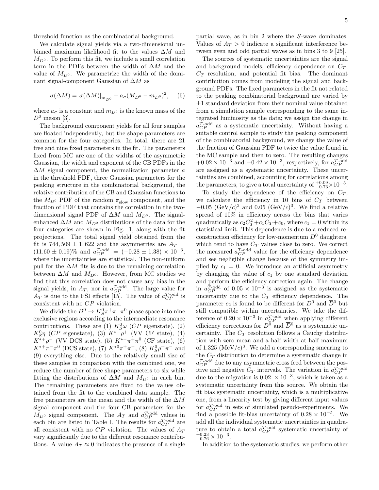threshold function as the combinatorial background.

We calculate signal yields via a two-dimensional unbinned maximum likelihood fit to the values  $\Delta M$  and  $M_{D^0}$ . To perform this fit, we include a small correlation term in the PDFs between the width of  $\Delta M$  and the value of  $M_{D^0}$ . We parametrize the width of the dominant signal-component Gaussian of ∆M as

$$
\sigma(\Delta M) = \sigma(\Delta M)|_{m_{D^0}} + a_{\sigma}(M_{D^0} - m_{D^0})^2, \quad (6)
$$

where  $a_{\sigma}$  is a constant and  $m_{D^0}$  is the known mass of the  $D^0$  meson [3].

The background component yields for all four samples are floated independently, but the shape parameters are common for the four categories. In total, there are 21 free and nine fixed parameters in the fit. The parameters fixed from MC are one of the widths of the asymmetric Gaussian, the width and exponent of the CB PDFs in the  $\Delta M$  signal component, the normalization parameter a in the threshold PDF, three Gaussian parameters for the peaking structure in the combinatorial background, the relative contribution of the CB and Gaussian functions to the  $M_{D^0}$  PDF of the random  $\pi_{slow}^+$  component, and the fraction of PDF that contains the correlation in the twodimensional signal PDF of  $\Delta M$  and  $M_{D^0}$ . The signalenhanced  $\Delta M$  and  $M_{D^0}$  distributions of the data for the four categories are shown in Fig. 1, along with the fit projections. The total signal yield obtained from the fit is 744, 509  $\pm$  1, 622 and the asymmetries are  $A_T =$  $(11.60 \pm 0.19)\%$  and  $a_{CP}^{T-odd} = (-0.28 \pm 1.38) \times 10^{-3}$ , where the uncertainties are statistical. The non-uniform pull for the  $\Delta M$  fits is due to the remaining correlation between  $\Delta M$  and  $M_{D^0}$ . However, from MC studies we find that this correlation does not cause any bias in the signal yields, in  $A_T$ , nor in  $a_{CP}^{T-odd}$ . The large value for  $A_T$  is due to the FSI effects [15]. The value of  $a_{CP}^{T-\text{odd}}$  is consistent with no  ${\cal CP}$  violation.

We divide the  $D^0 \to K_S^0 \pi^+ \pi^- \pi^0$  phase space into nine exclusive regions according to the intermediate resonance contributions. These are (1)  $K_S^0\omega$  (CP eigenstate), (2)  $K^0_S \eta$  (CP eigenstate), (3)  $K^{*-}\rho^+$  (VV CF state), (4)  $K^{*+}\rho^-$  (VV DCS state), (5)  $K^{*-}\pi^+\pi^0$  (CF state), (6)  $K^{*+}\pi^-\pi^0$  (DCS state), (7)  $K^{*0}\pi^+\pi^-$ , (8)  $K_S^0\rho^+\pi^-$  and (9) everything else. Due to the relatively small size of these samples in comparison with the combined one, we reduce the number of free shape parameters to six while fitting the distributions of  $\Delta M$  and  $M_{D^0}$  in each bin. The remaining parameters are fixed to the values obtained from the fit to the combined data sample. The free parameters are the mean and the width of the  $\Delta M$ signal component and the four CB parameters for the  $M_{D^0}$  signal component. The  $A_T$  and  $a_{CP}^{T-odd}$  values in each bin are listed in Table I. The results for  $a_{CP}^{T-odd}$  are all consistent with no  $CP$  violation. The values of  $A_T$ vary significantly due to the different resonance contributions. A value  $A_T \approx 0$  indicates the presence of a single

partial wave, as in bin 2 where the S-wave dominates. Values of  $A_T > 0$  indicate a significant interference between even and odd partial waves as in bins 3 to 9 [25].

The sources of systematic uncertainties are the signal and background models, efficiency dependence on  $C_T$ ,  $C_T$  resolution, and potential fit bias. The dominant contribution comes from modeling the signal and background PDFs. The fixed parameters in the fit not related to the peaking combinatorial background are varied by  $\pm 1$  standard deviation from their nominal value obtained from a simulation sample corresponding to the same integrated luminosity as the data; we assign the change in  $a_{CP}^{T-odd}$  as a systematic uncertainty. Without having a suitable control sample to study the peaking component of the combinatorial background, we change the value of the fraction of Gaussian PDF to twice the value found in the MC sample and then to zero. The resulting changes  $+0.02 \times 10^{-3}$  and  $-0.42 \times 10^{-3}$ , respectively, for  $a_{CP}^{T-odd}$ are assigned as a systematic uncertainty. These uncertainties are combined, accounting for correlations among the parameters, to give a total uncertainty of  $_{-0.73}^{+0.09} \times 10^{-3}$ .

To study the dependence of the efficiency on  $C_T$ , we calculate the efficiency in 10 bins of  $C_T$  between  $-0.05 \; (\text{GeV}/c)^3$  and  $0.05 \; (\text{GeV}/c)^3$ . We find a relative spread of 10% in efficiency across the bins that varies quadratically as  $c_2 C_T^2 + c_1 C_T + c_0$ , where  $c_1 = 0$  within its statistical limit. This dependence is due to a reduced reconstruction efficiency for low-momentum  $D^0$  daughters, which tend to have  $C_T$  values close to zero. We correct the measured  $a_{CP}^{T-odd}$  value for the efficiency dependence and see negligible change because of the symmetry implied by  $c_1 = 0$ . We introduce an artificial asymmetry by changing the value of  $c_1$  by one standard deviation and perform the efficiency correction again. The change in  $a_{CP}^{T-odd}$  of  $0.05 \times 10^{-3}$  is assigned as the systematic uncertainty due to the  $C_T$  efficiency dependence. The parameter  $c_2$  is found to be different for  $D^0$  and  $\overline{D}{}^0$  but still compatible within uncertainties. We take the difference of  $0.20 \times 10^{-3}$  in  $a_{CP}^{T-\text{odd}}$  when applying different efficiency corrections for  $D^0$  and  $\overline{D}{}^0$  as a systematic uncertainty. The  $C_T$  resolution follows a Cauchy distribution with zero mean and a half width at half maximum of 1.325 (MeV $/c$ )<sup>3</sup>. We add a corresponding smearing to the  $C_T$  distribution to determine a systematic change in  $a_{CP}^{T-\text{odd}}$  due to any asymmetric cross feed between the positive and negative  $C_T$  intervals. The variation in  $a_{CP}^{T-\text{odd}}$ due to the migration is  $0.02 \times 10^{-3}$ , which is taken as a systematic uncertainty from this source. We obtain the fit bias systematic uncertainty, which is a multiplicative one, from a linearity test by giving different input values for  $a_{CP}^{T-odd}$  in sets of simulated pseudo-experiments. We find a possible fit-bias uncertainty of  $0.28 \times 10^{-5}$ . We add all the individual systematic uncertainties in quadrature to obtain a total  $a_{CP}^{T-odd}$  systematic uncertainty of  $_{-0.76}^{+0.23} \times 10^{-3}$ .

In addition to the systematic studies, we perform other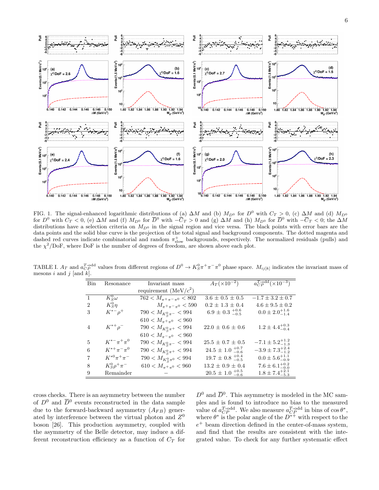

FIG. 1. The signal-enhanced logarithmic distributions of (a)  $\Delta M$  and (b)  $M_{D^0}$  for  $D^0$  with  $C_T > 0$ , (c)  $\Delta M$  and (d)  $M_{D^0}$ for  $D^0$  with  $C_T < 0$ , (e)  $\Delta M$  and (f)  $M_{D^0}$  for  $\overline{D}^0$  with  $-\overline{C}_T > 0$  and (g)  $\Delta M$  and (h)  $M_{D^0}$  for  $\overline{D}^0$  with  $-\overline{C}_T < 0$ ; the  $\Delta M$ distributions have a selection criteria on  $M_{D^0}$  in the signal region and vice versa. The black points with error bars are the data points and the solid blue curve is the projection of the total signal and background components. The dotted magenta and dashed red curves indicate combinatorial and random  $\pi_{slow}^+$  backgrounds, respectively. The normalized residuals (pulls) and the  $\chi^2/\text{DoF}$ , where DoF is the number of degrees of freedom, are shown above each plot.

TABLE I.  $A_T$  and  $a_{CP}^{T-\text{odd}}$  values from different regions of  $D^0 \to K_S^0 \pi^+\pi^-\pi^0$  phase space.  $M_{ij[k]}$  indicates the invariant mass of mesons i and j [and  $k$ ].

| <b>Bin</b>     | Resonance              | Invariant mass                             | $A_T (\times 10^{-2})$         | $a_{CP}^{T-odd} (\times 10^{-3})$ |
|----------------|------------------------|--------------------------------------------|--------------------------------|-----------------------------------|
|                |                        | requirement (MeV/ $c^2$ )                  |                                |                                   |
| $\mathbf{1}$   | $K^0_S\omega$          | $762 < M_{\pi^+\pi^-\pi^0} < 802$          | $3.6 \pm 0.5 \pm 0.5$          | $-1.7 \pm 3.2 \pm 0.7$            |
| $\overline{2}$ | $K^0_S\eta$            | $M_{\pi^+\pi^-\pi^0}$ < 590                | $0.2 \pm 1.3 \pm 0.4$          | $4.6 \pm 9.5 \pm 0.2$             |
| 3              | $K^{*-}\rho^+$         | $790 < M_{K_{\mathcal{S}}^{0}\pi^-} < 994$ | $6.9 \pm 0.3 \pm 0.6 \pm 0.5$  | $0.0 \pm 2.0^{+1.6}_{-1.4}$       |
|                |                        | $610 < M_{\pi^+\pi^0} < 960$               |                                |                                   |
| $\overline{4}$ | $K^{*+}\rho^-$         | 790 < $M_{K_{\rm c}^{0}\pi^+}$ < 994       | $22.0 \pm 0.6 \pm 0.6$         | $1.2 \pm 4.4^{+0.3}_{-0.4}$       |
|                |                        | $610 < M_{\pi^-\pi^0} < 960$               |                                |                                   |
| 5              | $K^{*-}\pi^+\pi^0$     | $790 < M_{K_{\mathcal{S}}^{0}\pi^-} < 994$ | $25.5 \pm 0.7 \pm 0.5$         | $-7.1 \pm 5.2_{-1.3}^{+1.2}$      |
| 6              | $K^{*+}\pi^-\pi^0$     | $790 < M_{K_{\rm c}^{0}\pi^{+}} < 994$     | $24.5 \pm 1.0_{-0.6}^{+0.7}$   | $-3.9 \pm 7.3_{-1.2}^{+2.4}$      |
| 7              | $K^{*0}\pi^{+}\pi^{-}$ | 790 < $M_{K_{\rm c}^{0}\pi^{0}}$ < 994     | $19.7 \pm 0.8 \pm 0.4 \pm 0.5$ | $0.0 \pm 5.6^{+1.1}_{-0.9}$       |
| 8              | $K^0_S \rho^+ \pi^-$   | $610 < M_{\pi^+\pi^0} < 960$               | $13.2 \pm 0.9 \pm 0.4$         | $7.6 \pm 6.1^{+0.2}_{-0.0}$       |
| 9              | Remainder              |                                            | $20.5 \pm 1.0_{-0.6}^{+0.5}$   | $1.8 \pm 7.4^{+2.1}_{-5.3}$       |

cross checks. There is an asymmetry between the number of  $D^0$  and  $\overline{D}{}^0$  events reconstructed in the data sample due to the forward-backward asymmetry  $(A_{FB})$  generated by interference between the virtual photon and  $Z^0$ boson [26]. This production asymmetry, coupled with the asymmetry of the Belle detector, may induce a different reconstruction efficiency as a function of  $C_T$  for

 $D^0$  and  $\overline{D}{}^0$ . This asymmetry is modeled in the MC samples and is found to introduce no bias to the measured value of  $a_{CP}^{T-odd}$ . We also measure  $a_{CP}^{T-odd}$  in bins of  $\cos \theta^*$ , where  $\theta^*$  is the polar angle of the  $D^{*+}$  with respect to the  $e^+$  beam direction defined in the center-of-mass system, and find that the results are consistent with the integrated value. To check for any further systematic effect